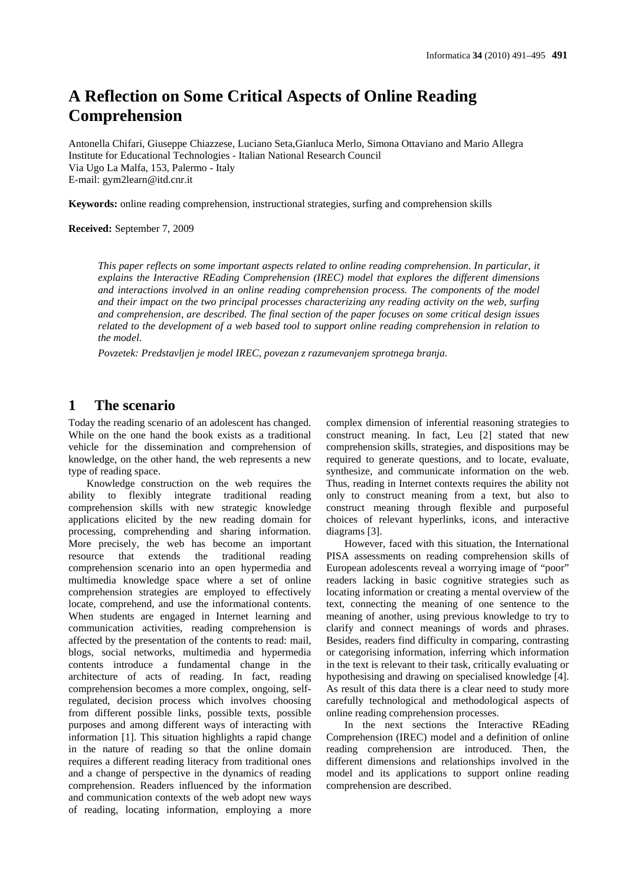# **A Reflection on Some Critical Aspects of Online Reading Comprehension**

Antonella Chifari, Giuseppe Chiazzese, Luciano Seta,Gianluca Merlo, Simona Ottaviano and Mario Allegra Institute for Educational Technologies - Italian National Research Council Via Ugo La Malfa, 153, Palermo - Italy E-mail: gym2learn@itd.cnr.it

**Keywords:** online reading comprehension, instructional strategies, surfing and comprehension skills

#### **Received:** September 7, 2009

*This paper reflects on some important aspects related to online reading comprehension. In particular, it explains the Interactive REading Comprehension (IREC) model that explores the different dimensions and interactions involved in an online reading comprehension process. The components of the model and their impact on the two principal processes characterizing any reading activity on the web, surfing and comprehension, are described. The final section of the paper focuses on some critical design issues related to the development of a web based tool to support online reading comprehension in relation to the model.*

*Povzetek: Predstavljen je model IREC, povezan z razumevanjem sprotnega branja.*

### **1 The scenario**

Today the reading scenario of an adolescent has changed. While on the one hand the book exists as a traditional vehicle for the dissemination and comprehension of knowledge, on the other hand, the web represents a new type of reading space.

Knowledge construction on the web requires the ability to flexibly integrate traditional reading comprehension skills with new strategic knowledge applications elicited by the new reading domain for processing, comprehending and sharing information. More precisely, the web has become an important resource that extends the traditional reading comprehension scenario into an open hypermedia and multimedia knowledge space where a set of online comprehension strategies are employed to effectively locate, comprehend, and use the informational contents. When students are engaged in Internet learning and communication activities, reading comprehension is affected by the presentation of the contents to read: mail, blogs, social networks, multimedia and hypermedia contents introduce a fundamental change in the architecture of acts of reading. In fact, reading comprehension becomes a more complex, ongoing, selfregulated, decision process which involves choosing from different possible links, possible texts, possible purposes and among different ways of interacting with information [1]. This situation highlights a rapid change in the nature of reading so that the online domain requires a different reading literacy from traditional ones and a change of perspective in the dynamics of reading comprehension. Readers influenced by the information and communication contexts of the web adopt new ways of reading, locating information, employing a more complex dimension of inferential reasoning strategies to construct meaning. In fact, Leu [2] stated that new comprehension skills, strategies, and dispositions may be required to generate questions, and to locate, evaluate, synthesize, and communicate information on the web. Thus, reading in Internet contexts requires the ability not only to construct meaning from a text, but also to construct meaning through flexible and purposeful choices of relevant hyperlinks, icons, and interactive diagrams [3].

However, faced with this situation, the International PISA assessments on reading comprehension skills of European adolescents reveal a worrying image of "poor" readers lacking in basic cognitive strategies such as locating information or creating a mental overview of the text, connecting the meaning of one sentence to the meaning of another, using previous knowledge to try to clarify and connect meanings of words and phrases. Besides, readers find difficulty in comparing, contrasting or categorising information, inferring which information in the text is relevant to their task, critically evaluating or hypothesising and drawing on specialised knowledge [4]. As result of this data there is a clear need to study more carefully technological and methodological aspects of online reading comprehension processes.

In the next sections the Interactive REading Comprehension (IREC) model and a definition of online reading comprehension are introduced. Then, the different dimensions and relationships involved in the model and its applications to support online reading comprehension are described.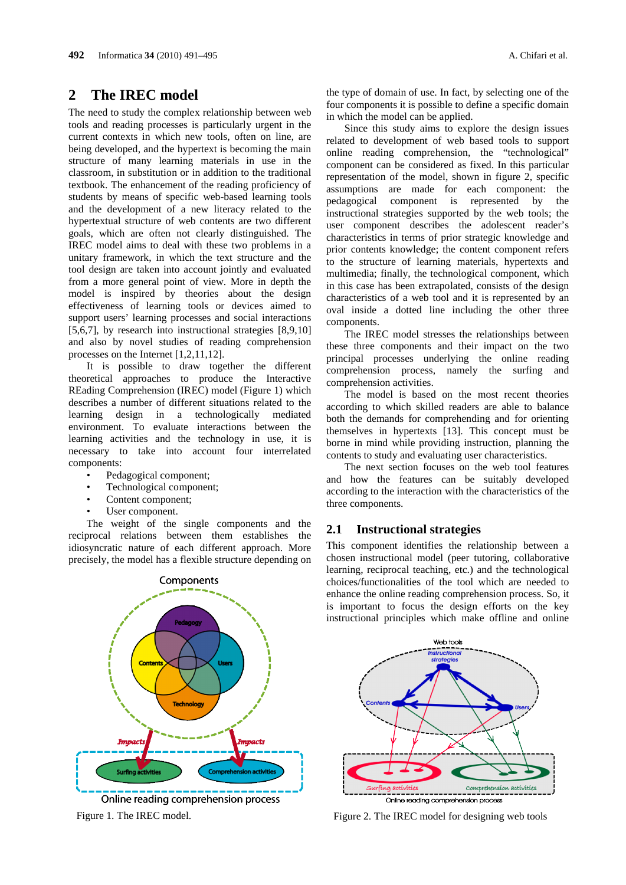### **2 The IREC model**

The need to study the complex relationship between web tools and reading processes is particularly urgent in the current contexts in which new tools, often on line, are being developed, and the hypertext is becoming the main structure of many learning materials in use in the classroom, in substitution or in addition to the traditional textbook. The enhancement of the reading proficiency of students by means of specific web-based learning tools and the development of a new literacy related to the hypertextual structure of web contents are two different goals, which are often not clearly distinguished. The IREC model aims to deal with these two problems in a unitary framework, in which the text structure and the tool design are taken into account jointly and evaluated from a more general point of view. More in depth the model is inspired by theories about the design effectiveness of learning tools or devices aimed to support users' learning processes and social interactions [5,6,7], by research into instructional strategies [8,9,10] and also by novel studies of reading comprehension processes on the Internet [1,2,11,12].

It is possible to draw together the different theoretical approaches to produce the Interactive REading Comprehension (IREC) model (Figure 1) which describes a number of different situations related to the learning design in a technologically mediated environment. To evaluate interactions between the learning activities and the technology in use, it is necessary to take into account four interrelated components:

- Pedagogical component;
- Technological component;
- Content component;
- User component.

The weight of the single components and the reciprocal relations between them establishes the idiosyncratic nature of each different approach. More precisely, the model has a flexible structure depending on



the type of domain of use. In fact, by selecting one of the four components it is possible to define a specific domain in which the model can be applied.

Since this study aims to explore the design issues related to development of web based tools to support online reading comprehension, the "technological" component can be considered as fixed. In this particular representation of the model, shown in figure 2, specific assumptions are made for each component: the pedagogical component is represented by the instructional strategies supported by the web tools; the user component describes the adolescent reader's characteristics in terms of prior strategic knowledge and prior contents knowledge; the content component refers to the structure of learning materials, hypertexts and multimedia; finally, the technological component, which in this case has been extrapolated, consists of the design characteristics of a web tool and it is represented by an oval inside a dotted line including the other three components.

The IREC model stresses the relationships between these three components and their impact on the two principal processes underlying the online reading comprehension process, namely the surfing and comprehension activities.

The model is based on the most recent theories according to which skilled readers are able to balance both the demands for comprehending and for orienting themselves in hypertexts [13]. This concept must be borne in mind while providing instruction, planning the contents to study and evaluating user characteristics.

The next section focuses on the web tool features and how the features can be suitably developed according to the interaction with the characteristics of the three components.

### **2.1 Instructional strategies**

This component identifies the relationship between a chosen instructional model (peer tutoring, collaborative learning, reciprocal teaching, etc.) and the technological choices/functionalities of the tool which are needed to enhance the online reading comprehension process. So, it is important to focus the design efforts on the key instructional principles which make offline and online



Figure 1. The IREC model. Figure 2. The IREC model for designing web tools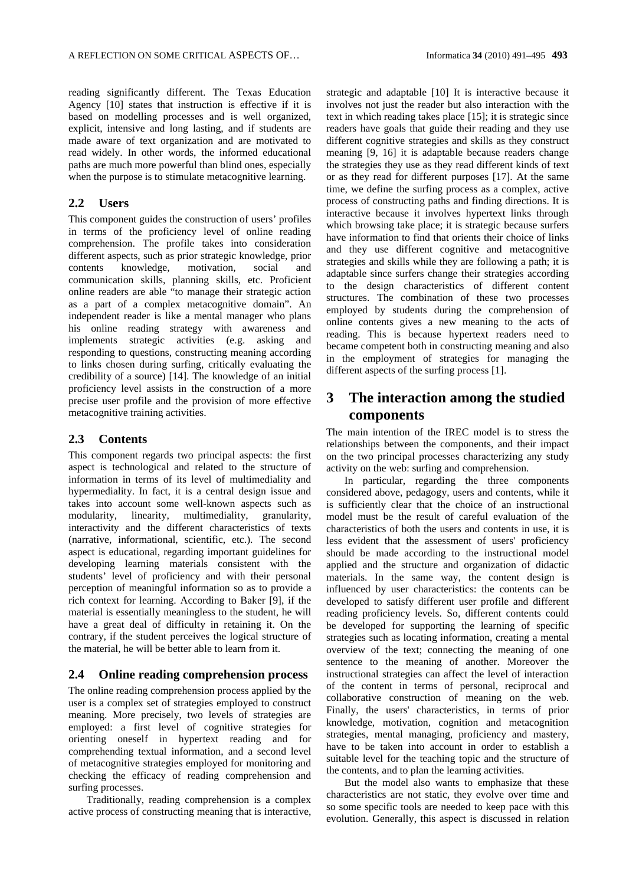reading significantly different. The Texas Education Agency [10] states that instruction is effective if it is based on modelling processes and is well organized, explicit, intensive and long lasting, and if students are made aware of text organization and are motivated to read widely. In other words, the informed educational paths are much more powerful than blind ones, especially when the purpose is to stimulate metacognitive learning.

#### **2.2 Users**

This component guides the construction of users' profiles in terms of the proficiency level of online reading comprehension. The profile takes into consideration different aspects, such as prior strategic knowledge, prior contents knowledge, motivation, social and communication skills, planning skills, etc. Proficient online readers are able "to manage their strategic action as a part of a complex metacognitive domain". An independent reader is like a mental manager who plans his online reading strategy with awareness and implements strategic activities (e.g. asking and responding to questions, constructing meaning according to links chosen during surfing, critically evaluating the credibility of a source) [14]. The knowledge of an initial proficiency level assists in the construction of a more precise user profile and the provision of more effective metacognitive training activities.

#### **2.3 Contents**

This component regards two principal aspects: the first aspect is technological and related to the structure of information in terms of its level of multimediality and hypermediality. In fact, it is a central design issue and takes into account some well-known aspects such as modularity, linearity, multimediality, granularity, interactivity and the different characteristics of texts (narrative, informational, scientific, etc.). The second aspect is educational, regarding important guidelines for developing learning materials consistent with the students' level of proficiency and with their personal perception of meaningful information so as to provide a rich context for learning. According to Baker [9], if the material is essentially meaningless to the student, he will have a great deal of difficulty in retaining it. On the contrary, if the student perceives the logical structure of the material, he will be better able to learn from it.

#### **2.4 Online reading comprehension process**

The online reading comprehension process applied by the user is a complex set of strategies employed to construct meaning. More precisely, two levels of strategies are employed: a first level of cognitive strategies for orienting oneself in hypertext reading and for comprehending textual information, and a second level of metacognitive strategies employed for monitoring and checking the efficacy of reading comprehension and surfing processes.

Traditionally, reading comprehension is a complex active process of constructing meaning that is interactive, strategic and adaptable [10] It is interactive because it involves not just the reader but also interaction with the text in which reading takes place [15]; it is strategic since readers have goals that guide their reading and they use different cognitive strategies and skills as they construct meaning [9, 16] it is adaptable because readers change the strategies they use as they read different kinds of text or as they read for different purposes [17]. At the same time, we define the surfing process as a complex, active process of constructing paths and finding directions. It is interactive because it involves hypertext links through which browsing take place; it is strategic because surfers have information to find that orients their choice of links and they use different cognitive and metacognitive strategies and skills while they are following a path; it is adaptable since surfers change their strategies according to the design characteristics of different content structures. The combination of these two processes employed by students during the comprehension of online contents gives a new meaning to the acts of reading. This is because hypertext readers need to became competent both in constructing meaning and also in the employment of strategies for managing the different aspects of the surfing process [1].

## **3 The interaction among the studied components**

The main intention of the IREC model is to stress the relationships between the components, and their impact on the two principal processes characterizing any study activity on the web: surfing and comprehension.

In particular, regarding the three components considered above, pedagogy, users and contents, while it is sufficiently clear that the choice of an instructional model must be the result of careful evaluation of the characteristics of both the users and contents in use, it is less evident that the assessment of users' proficiency should be made according to the instructional model applied and the structure and organization of didactic materials. In the same way, the content design is influenced by user characteristics: the contents can be developed to satisfy different user profile and different reading proficiency levels. So, different contents could be developed for supporting the learning of specific strategies such as locating information, creating a mental overview of the text; connecting the meaning of one sentence to the meaning of another. Moreover the instructional strategies can affect the level of interaction of the content in terms of personal, reciprocal and collaborative construction of meaning on the web. Finally, the users' characteristics, in terms of prior knowledge, motivation, cognition and metacognition strategies, mental managing, proficiency and mastery, have to be taken into account in order to establish a suitable level for the teaching topic and the structure of the contents, and to plan the learning activities.

But the model also wants to emphasize that these characteristics are not static, they evolve over time and so some specific tools are needed to keep pace with this evolution. Generally, this aspect is discussed in relation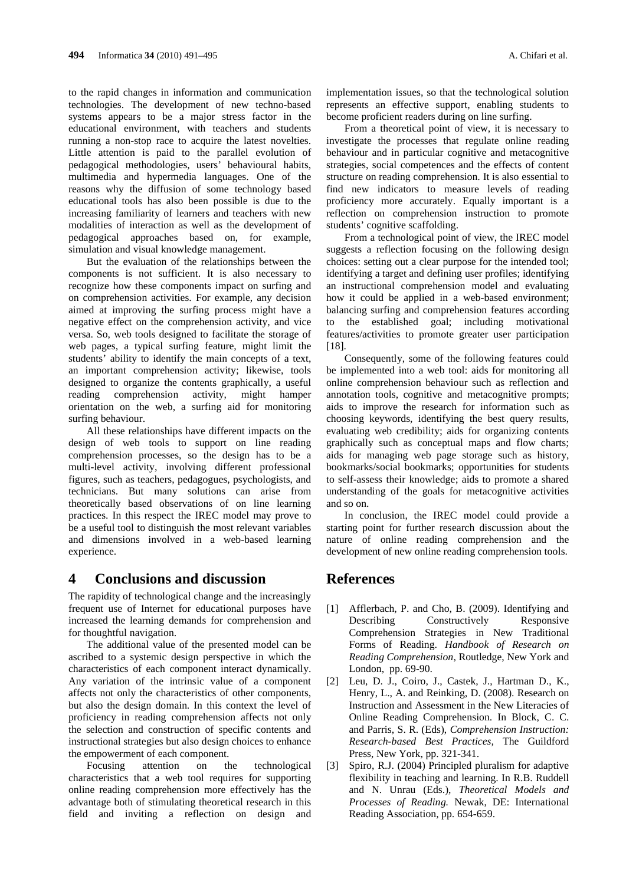to the rapid changes in information and communication technologies. The development of new techno-based systems appears to be a major stress factor in the educational environment, with teachers and students running a non-stop race to acquire the latest novelties. Little attention is paid to the parallel evolution of pedagogical methodologies, users' behavioural habits, multimedia and hypermedia languages. One of the reasons why the diffusion of some technology based educational tools has also been possible is due to the increasing familiarity of learners and teachers with new modalities of interaction as well as the development of pedagogical approaches based on, for example, simulation and visual knowledge management.

But the evaluation of the relationships between the components is not sufficient. It is also necessary to recognize how these components impact on surfing and on comprehension activities. For example, any decision aimed at improving the surfing process might have a negative effect on the comprehension activity, and vice versa. So, web tools designed to facilitate the storage of web pages, a typical surfing feature, might limit the students' ability to identify the main concepts of a text, an important comprehension activity; likewise, tools designed to organize the contents graphically, a useful reading comprehension activity, might hamper orientation on the web, a surfing aid for monitoring surfing behaviour.

All these relationships have different impacts on the design of web tools to support on line reading comprehension processes, so the design has to be a multi-level activity, involving different professional figures, such as teachers, pedagogues, psychologists, and technicians. But many solutions can arise from theoretically based observations of on line learning practices. In this respect the IREC model may prove to be a useful tool to distinguish the most relevant variables and dimensions involved in a web-based learning experience.

### **4 Conclusions and discussion**

The rapidity of technological change and the increasingly frequent use of Internet for educational purposes have increased the learning demands for comprehension and for thoughtful navigation.

The additional value of the presented model can be ascribed to a systemic design perspective in which the characteristics of each component interact dynamically. Any variation of the intrinsic value of a component affects not only the characteristics of other components, but also the design domain. In this context the level of proficiency in reading comprehension affects not only the selection and construction of specific contents and instructional strategies but also design choices to enhance the empowerment of each component.

Focusing attention on the technological characteristics that a web tool requires for supporting online reading comprehension more effectively has the advantage both of stimulating theoretical research in this field and inviting a reflection on design and implementation issues, so that the technological solution represents an effective support, enabling students to become proficient readers during on line surfing.

From a theoretical point of view, it is necessary to investigate the processes that regulate online reading behaviour and in particular cognitive and metacognitive strategies, social competences and the effects of content structure on reading comprehension. It is also essential to find new indicators to measure levels of reading proficiency more accurately. Equally important is a reflection on comprehension instruction to promote students' cognitive scaffolding.

From a technological point of view, the IREC model suggests a reflection focusing on the following design choices: setting out a clear purpose for the intended tool; identifying a target and defining user profiles; identifying an instructional comprehension model and evaluating how it could be applied in a web-based environment; balancing surfing and comprehension features according to the established goal; including motivational features/activities to promote greater user participation [18].

Consequently, some of the following features could be implemented into a web tool: aids for monitoring all online comprehension behaviour such as reflection and annotation tools, cognitive and metacognitive prompts; aids to improve the research for information such as choosing keywords, identifying the best query results, evaluating web credibility; aids for organizing contents graphically such as conceptual maps and flow charts; aids for managing web page storage such as history, bookmarks/social bookmarks; opportunities for students to self-assess their knowledge; aids to promote a shared understanding of the goals for metacognitive activities and so on.

In conclusion, the IREC model could provide a starting point for further research discussion about the nature of online reading comprehension and the development of new online reading comprehension tools.

### **References**

- [1] Afflerbach, P. and Cho, B. (2009). Identifying and Describing Constructively Responsive Comprehension Strategies in New Traditional Forms of Reading. *Handbook of Research on Reading Comprehension*, Routledge, New York and London, pp. 69-90.
- [2] Leu, D. J., Coiro, J., Castek, J., Hartman D., K., Henry, L., A. and Reinking, D. (2008). Research on Instruction and Assessment in the New Literacies of Online Reading Comprehension. In Block, C. C. and Parris, S. R. (Eds), *Comprehension Instruction: Research-based Best Practices,* The Guildford Press, New York, pp. 321-341.
- [3] Spiro, R.J. (2004) Principled pluralism for adaptive flexibility in teaching and learning. In R.B. Ruddell and N. Unrau (Eds.), *Theoretical Models and Processes of Reading.* Newak, DE: International Reading Association, pp. 654-659.